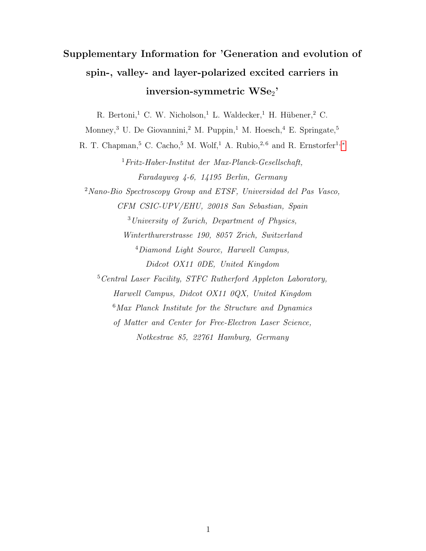## Supplementary Information for 'Generation and evolution of spin-, valley- and layer-polarized excited carriers in  $\operatorname{inversion-symmetric}\operatorname{WSe}_2$ '

R. Bertoni,<sup>1</sup> C. W. Nicholson,<sup>1</sup> L. Waldecker,<sup>1</sup> H. Hübener,<sup>2</sup> C.

Monney,<sup>3</sup> U. De Giovannini,<sup>2</sup> M. Puppin,<sup>1</sup> M. Hoesch,<sup>4</sup> E. Springate,<sup>5</sup>

R. T. Chapman,<sup>5</sup> C. Cacho,<sup>5</sup> M. Wolf,<sup>1</sup> A. Rubio,<sup>2,6</sup> and R. Ernstorfer<sup>1,\*</sup>

<sup>1</sup>Fritz-Haber-Institut der Max-Planck-Gesellschaft, Faradayweg 4-6, 14195 Berlin, Germany <sup>2</sup>Nano-Bio Spectroscopy Group and ETSF, Universidad del Pas Vasco, CFM CSIC-UPV/EHU, 20018 San Sebastian, Spain <sup>3</sup>University of Zurich, Department of Physics, Winterthurerstrasse 190, 8057 Zrich, Switzerland <sup>4</sup>Diamond Light Source, Harwell Campus, Didcot OX11 0DE, United Kingdom <sup>5</sup>Central Laser Facility, STFC Rutherford Appleton Laboratory, Harwell Campus, Didcot OX11 0QX, United Kingdom <sup>6</sup>Max Planck Institute for the Structure and Dynamics of Matter and Center for Free-Electron Laser Science,

Notkestrae 85, 22761 Hamburg, Germany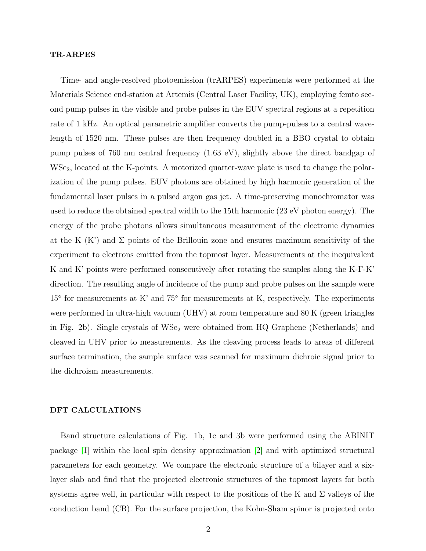## TR-ARPES

Time- and angle-resolved photoemission (trARPES) experiments were performed at the Materials Science end-station at Artemis (Central Laser Facility, UK), employing femto second pump pulses in the visible and probe pulses in the EUV spectral regions at a repetition rate of 1 kHz. An optical parametric amplifier converts the pump-pulses to a central wavelength of 1520 nm. These pulses are then frequency doubled in a BBO crystal to obtain pump pulses of 760 nm central frequency (1.63 eV), slightly above the direct bandgap of WSe<sub>2</sub>, located at the K-points. A motorized quarter-wave plate is used to change the polarization of the pump pulses. EUV photons are obtained by high harmonic generation of the fundamental laser pulses in a pulsed argon gas jet. A time-preserving monochromator was used to reduce the obtained spectral width to the 15th harmonic (23 eV photon energy). The energy of the probe photons allows simultaneous measurement of the electronic dynamics at the K  $(K')$  and  $\Sigma$  points of the Brillouin zone and ensures maximum sensitivity of the experiment to electrons emitted from the topmost layer. Measurements at the inequivalent K and K' points were performed consecutively after rotating the samples along the K-Γ-K' direction. The resulting angle of incidence of the pump and probe pulses on the sample were 15° for measurements at K' and 75° for measurements at K, respectively. The experiments were performed in ultra-high vacuum (UHV) at room temperature and 80 K (green triangles in Fig. 2b). Single crystals of WSe<sub>2</sub> were obtained from HQ Graphene (Netherlands) and cleaved in UHV prior to measurements. As the cleaving process leads to areas of different surface termination, the sample surface was scanned for maximum dichroic signal prior to the dichroism measurements.

## DFT CALCULATIONS

Band structure calculations of Fig. 1b, 1c and 3b were performed using the ABINIT package [\[1\]](#page-4-0) within the local spin density approximation [\[2\]](#page-4-1) and with optimized structural parameters for each geometry. We compare the electronic structure of a bilayer and a sixlayer slab and find that the projected electronic structures of the topmost layers for both systems agree well, in particular with respect to the positions of the K and  $\Sigma$  valleys of the conduction band (CB). For the surface projection, the Kohn-Sham spinor is projected onto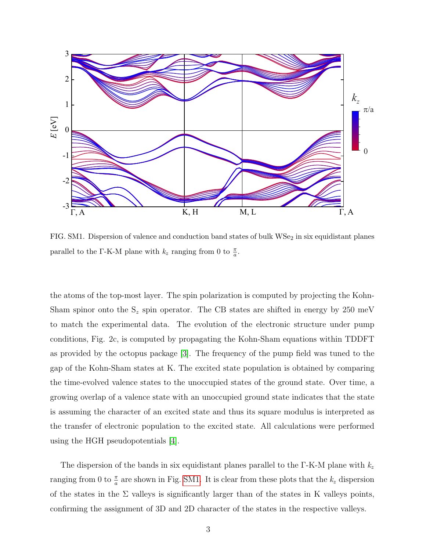

<span id="page-2-0"></span>FIG. SM1. Dispersion of valence and conduction band states of bulk  $WSe<sub>2</sub>$  in six equidistant planes parallel to the Γ-K-M plane with  $k_z$  ranging from 0 to  $\frac{\pi}{a}$ .

the atoms of the top-most layer. The spin polarization is computed by projecting the Kohn-Sham spinor onto the  $S_z$  spin operator. The CB states are shifted in energy by 250 meV to match the experimental data. The evolution of the electronic structure under pump conditions, Fig. 2c, is computed by propagating the Kohn-Sham equations within TDDFT as provided by the octopus package [\[3\]](#page-4-2). The frequency of the pump field was tuned to the gap of the Kohn-Sham states at K. The excited state population is obtained by comparing the time-evolved valence states to the unoccupied states of the ground state. Over time, a growing overlap of a valence state with an unoccupied ground state indicates that the state is assuming the character of an excited state and thus its square modulus is interpreted as the transfer of electronic population to the excited state. All calculations were performed using the HGH pseudopotentials [\[4\]](#page-4-3).

The dispersion of the bands in six equidistant planes parallel to the Γ-K-M plane with  $k_z$ ranging from 0 to  $\frac{\pi}{a}$  are shown in Fig. [SM1.](#page-2-0) It is clear from these plots that the  $k_z$  dispersion of the states in the  $\Sigma$  valleys is significantly larger than of the states in K valleys points, confirming the assignment of 3D and 2D character of the states in the respective valleys.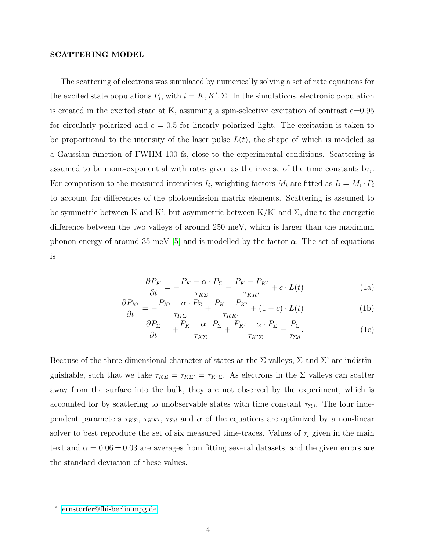## SCATTERING MODEL

The scattering of electrons was simulated by numerically solving a set of rate equations for the excited state populations  $P_i$ , with  $i = K, K', \Sigma$ . In the simulations, electronic population is created in the excited state at K, assuming a spin-selective excitation of contrast  $c=0.95$ for circularly polarized and  $c = 0.5$  for linearly polarized light. The excitation is taken to be proportional to the intensity of the laser pulse  $L(t)$ , the shape of which is modeled as a Gaussian function of FWHM 100 fs, close to the experimental conditions. Scattering is assumed to be mono-exponential with rates given as the inverse of the time constants  $b\tau_i$ . For comparison to the measured intensities  $I_i$ , weighting factors  $M_i$  are fitted as  $I_i = M_i \cdot P_i$ to account for differences of the photoemission matrix elements. Scattering is assumed to be symmetric between K and K', but asymmetric between  $K/K'$  and  $\Sigma$ , due to the energetic difference between the two valleys of around 250 meV, which is larger than the maximum phonon energy of around 35 meV [\[5\]](#page-4-4) and is modelled by the factor  $\alpha$ . The set of equations is

$$
\frac{\partial P_K}{\partial t} = -\frac{P_K - \alpha \cdot P_\Sigma}{\tau_{K\Sigma}} - \frac{P_K - P_{K'}}{\tau_{KK'}} + c \cdot L(t)
$$
(1a)

$$
\frac{\partial P_{K'}}{\partial t} = -\frac{P_{K'} - \alpha \cdot P_{\Sigma}}{\tau_{K\Sigma}} + \frac{P_K - P_{K'}}{\tau_{KK'}} + (1 - c) \cdot L(t)
$$
(1b)

$$
\frac{\partial P_{\Sigma}}{\partial t} = +\frac{P_K - \alpha \cdot P_{\Sigma}}{\tau_{K\Sigma}} + \frac{P_{K'} - \alpha \cdot P_{\Sigma}}{\tau_{K'\Sigma}} - \frac{P_{\Sigma}}{\tau_{\Sigma d}}.\tag{1c}
$$

Because of the three-dimensional character of states at the  $\Sigma$  valleys,  $\Sigma$  and  $\Sigma'$  are indistinguishable, such that we take  $\tau_{K\Sigma} = \tau_{K\Sigma'} = \tau_{K'\Sigma}$ . As electrons in the  $\Sigma$  valleys can scatter away from the surface into the bulk, they are not observed by the experiment, which is accounted for by scattering to unobservable states with time constant  $\tau_{\Sigma d}$ . The four independent parameters  $\tau_{K\Sigma}$ ,  $\tau_{KK'}$ ,  $\tau_{\Sigma d}$  and  $\alpha$  of the equations are optimized by a non-linear solver to best reproduce the set of six measured time-traces. Values of  $\tau_i$  given in the main text and  $\alpha = 0.06 \pm 0.03$  are averages from fitting several datasets, and the given errors are the standard deviation of these values.

<span id="page-3-0"></span><sup>∗</sup> [ernstorfer@fhi-berlin.mpg.de](mailto:ernstorfer@fhi-berlin.mpg.de)